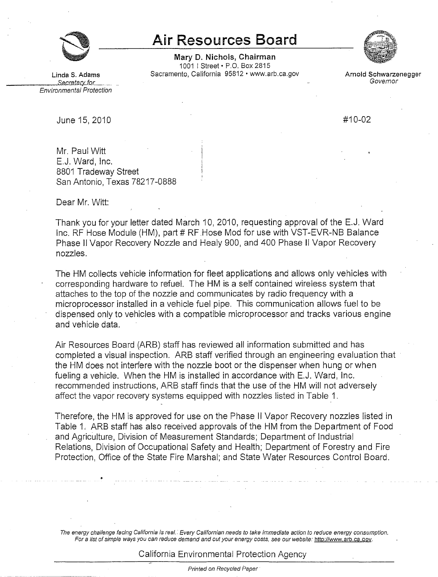

## **Air Resources Board**

**Mary D. Nichols, Chairman**  1001 I Street• P.O. Box 2815 **Linda S. Adams** Sacramento, California 95812 • www.arb.ca.gov **Arnold Schwarzenegger**  \_\_\_\_\_,\_\_r;r.e.tazy.\_[Q[\_\_ - Governor



Environmental Protection

June 15, 2010 **#10-02** 

Mr. Paul Witt E.J. Ward, Inc. 8801 Tradeway Street San Antonio, Texas 78217-0888

Dear Mr. Witt:

Thank you for your letter dated March 10, 2010, requesting approval of the E.J. Ward Inc. RF Hose Module (HM), part # RF Hose Mod for use with VST-EVR-NB Balance Phase II Vapor Recovery Nozzle and Healy 900, and 400 Phase II Vapor Recovery nozzles.

The HM collects vehicle information for fleet applications and allows only vehicles with corresponding hardware to refuel. The HM is a self contained wireless system that attaches to the top of the nozzle and communicates by radio frequency with a microprocessor installed in a vehicle fuel pipe. This communication allows fuel to be dispensed only to vehicles with a compatible microprocessor and tracks various engine and vehicle data.

Air Resources Board (ARB) staff has reviewed all information submitted and has completed a visual inspection. ARB staff verified through an engineering evaluation that the HM does not interfere with the nozzle boot or the dispenser when hung or when fueling a vehicle. When the HM is installed in accordance with E.J. Ward, Inc. recommended instructions, ARB staff finds that the use of the HM will not adversely affect the vapor recovery systems equipped with nozzles listed in Table 1.

Therefore, the HM is approved for use on the Phase II Vapor Recovery nozzles listed in Table 1. ARB staff has also received approvals of the HM from the Department of Food and Agriculture, Division of Measurement Standards; Department of Industrial Relations, Division of Occupational Safety and Health; Department of Forestry and Fire Protection, Office of the State Fire Marshal; and State Water Resources Control Board.

The energy challenge facing California is real.. Every Californian needs to take immediate action to reduce energy consumption. For a list of simple ways you can reduce demand and cut your energy costs, see our website: [http://www.arb.ca.qov.](http://www.arb.ca.qov)

California Environmental Protection Agency